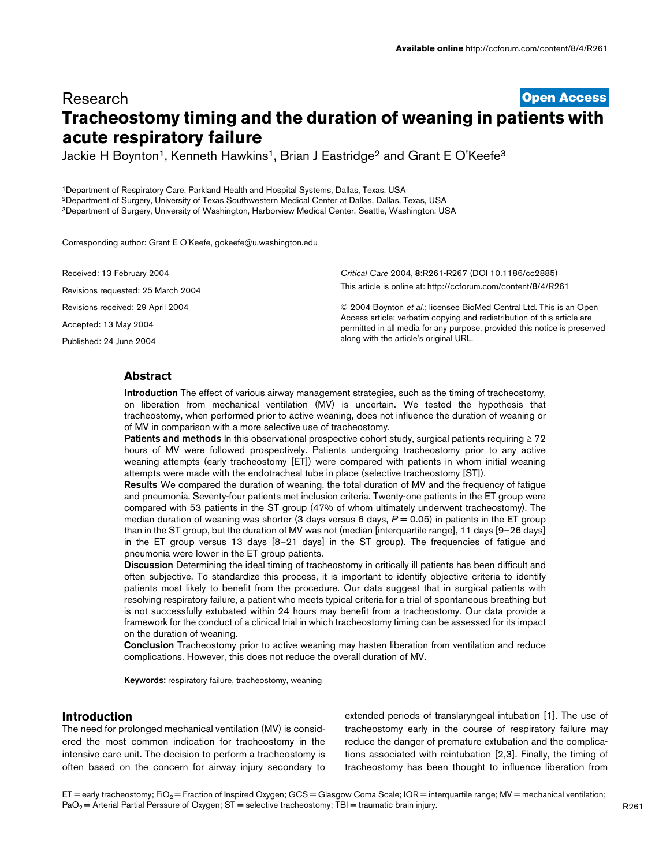## **[Open Access](http://www.biomedcentral.com/info/about/charter/) Research Tracheostomy timing and the duration of weaning in patients with acute respiratory failure**

Jackie H Boynton<sup>1</sup>, Kenneth Hawkins<sup>1</sup>, Brian J Eastridge<sup>2</sup> and Grant E O'Keefe<sup>3</sup>

1Department of Respiratory Care, Parkland Health and Hospital Systems, Dallas, Texas, USA 2Department of Surgery, University of Texas Southwestern Medical Center at Dallas, Dallas, Texas, USA 3Department of Surgery, University of Washington, Harborview Medical Center, Seattle, Washington, USA

Corresponding author: Grant E O'Keefe, gokeefe@u.washington.ed[u](http://www.ncbi.nlm.nih.gov/entrez/query.fcgi?cmd=Retrieve&db=PubMed&dopt=Abstract&list_uids=10.1186/cc2885)

Received: 13 February 2004 Revisions requested: 25 March 2004 Revisions received: 29 April 2004 Accepted: 13 May 2004 Published: 24 June 2004 *Critical Care* 2004, **8**:R261-R267 (DOI 10.1186/cc2885) [This article is online at: http://ccforum.com/content/8/4/R261](http://ccforum.com/content/8/4/R261) © 2004 Boynton *et al*.; licensee BioMed Central Ltd. This is an Open Access article: verbatim copying and redistribution of this article are permitted in all media for any purpose, provided this notice is preserved along with the article's original URL.

### **Abstract**

**Introduction** The effect of various airway management strategies, such as the timing of tracheostomy, on liberation from mechanical ventilation (MV) is uncertain. We tested the hypothesis that tracheostomy, when performed prior to active weaning, does not influence the duration of weaning or of MV in comparison with a more selective use of tracheostomy.

**Patients and methods** In this observational prospective cohort study, surgical patients requiring ≥ 72 hours of MV were followed prospectively. Patients undergoing tracheostomy prior to any active weaning attempts (early tracheostomy [ET]) were compared with patients in whom initial weaning attempts were made with the endotracheal tube in place (selective tracheostomy [ST]).

**Results** We compared the duration of weaning, the total duration of MV and the frequency of fatigue and pneumonia. Seventy-four patients met inclusion criteria. Twenty-one patients in the ET group were compared with 53 patients in the ST group (47% of whom ultimately underwent tracheostomy). The median duration of weaning was shorter (3 days versus 6 days,  $P = 0.05$ ) in patients in the ET group than in the ST group, but the duration of MV was not (median [interquartile range], 11 days [9–26 days] in the ET group versus 13 days [8–21 days] in the ST group). The frequencies of fatigue and pneumonia were lower in the ET group patients.

**Discussion** Determining the ideal timing of tracheostomy in critically ill patients has been difficult and often subjective. To standardize this process, it is important to identify objective criteria to identify patients most likely to benefit from the procedure. Our data suggest that in surgical patients with resolving respiratory failure, a patient who meets typical criteria for a trial of spontaneous breathing but is not successfully extubated within 24 hours may benefit from a tracheostomy. Our data provide a framework for the conduct of a clinical trial in which tracheostomy timing can be assessed for its impact on the duration of weaning.

**Conclusion** Tracheostomy prior to active weaning may hasten liberation from ventilation and reduce complications. However, this does not reduce the overall duration of MV.

**Keywords:** respiratory failure, tracheostomy, weaning

#### **Introduction**

The need for prolonged mechanical ventilation (MV) is considered the most common indication for tracheostomy in the intensive care unit. The decision to perform a tracheostomy is often based on the concern for airway injury secondary to extended periods of translaryngeal intubation [1]. The use of tracheostomy early in the course of respiratory failure may reduce the danger of premature extubation and the complications associated with reintubation [2,3]. Finally, the timing of tracheostomy has been thought to influence liberation from

 $ET =$ early tracheostomy; FiO<sub>2</sub> = Fraction of Inspired Oxygen; GCS = Glasgow Coma Scale; IQR = interquartile range; MV = mechanical ventilation;  $PaO<sub>2</sub>$  = Arterial Partial Perssure of Oxygen; ST = selective tracheostomy; TBI = traumatic brain injury.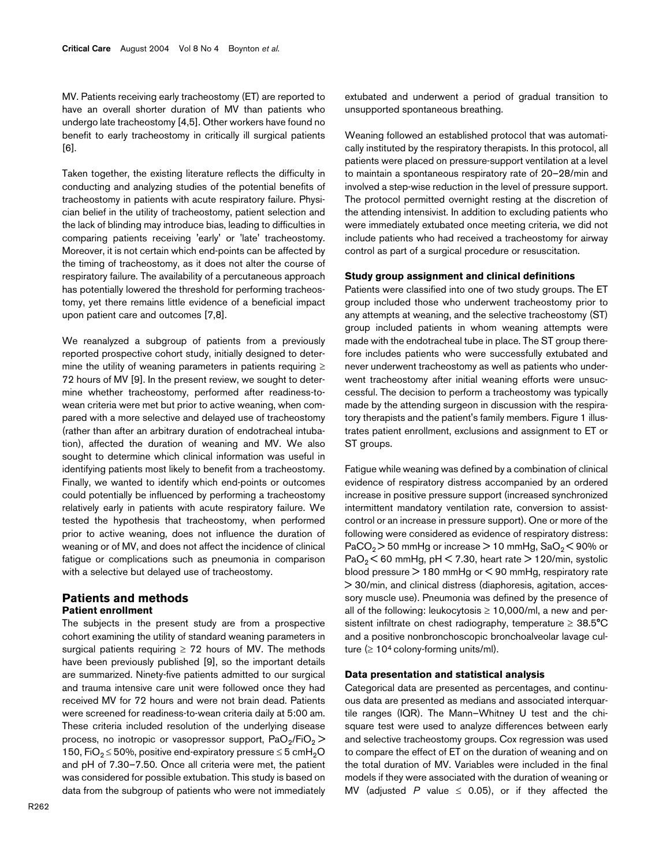MV. Patients receiving early tracheostomy (ET) are reported to have an overall shorter duration of MV than patients who undergo late tracheostomy [4,5]. Other workers have found no benefit to early tracheostomy in critically ill surgical patients [6].

Taken together, the existing literature reflects the difficulty in conducting and analyzing studies of the potential benefits of tracheostomy in patients with acute respiratory failure. Physician belief in the utility of tracheostomy, patient selection and the lack of blinding may introduce bias, leading to difficulties in comparing patients receiving 'early' or 'late' tracheostomy. Moreover, it is not certain which end-points can be affected by the timing of tracheostomy, as it does not alter the course of respiratory failure. The availability of a percutaneous approach has potentially lowered the threshold for performing tracheostomy, yet there remains little evidence of a beneficial impact upon patient care and outcomes [7,8].

We reanalyzed a subgroup of patients from a previously reported prospective cohort study, initially designed to determine the utility of weaning parameters in patients requiring ≥ 72 hours of MV [9]. In the present review, we sought to determine whether tracheostomy, performed after readiness-towean criteria were met but prior to active weaning, when compared with a more selective and delayed use of tracheostomy (rather than after an arbitrary duration of endotracheal intubation), affected the duration of weaning and MV. We also sought to determine which clinical information was useful in identifying patients most likely to benefit from a tracheostomy. Finally, we wanted to identify which end-points or outcomes could potentially be influenced by performing a tracheostomy relatively early in patients with acute respiratory failure. We tested the hypothesis that tracheostomy, when performed prior to active weaning, does not influence the duration of weaning or of MV, and does not affect the incidence of clinical fatigue or complications such as pneumonia in comparison with a selective but delayed use of tracheostomy.

### **Patients and methods Patient enrollment**

The subjects in the present study are from a prospective cohort examining the utility of standard weaning parameters in surgical patients requiring  $\geq$  72 hours of MV. The methods have been previously published [9], so the important details are summarized. Ninety-five patients admitted to our surgical and trauma intensive care unit were followed once they had received MV for 72 hours and were not brain dead. Patients were screened for readiness-to-wean criteria daily at 5:00 am. These criteria included resolution of the underlying disease process, no inotropic or vasopressor support,  $PaO<sub>2</sub>/FiO<sub>2</sub>$ 150, FiO<sub>2</sub>  $\leq$  50%, positive end-expiratory pressure  $\leq$  5 cmH<sub>2</sub>O and pH of 7.30–7.50. Once all criteria were met, the patient was considered for possible extubation. This study is based on data from the subgroup of patients who were not immediately

extubated and underwent a period of gradual transition to unsupported spontaneous breathing.

Weaning followed an established protocol that was automatically instituted by the respiratory therapists. In this protocol, all patients were placed on pressure-support ventilation at a level to maintain a spontaneous respiratory rate of 20–28/min and involved a step-wise reduction in the level of pressure support. The protocol permitted overnight resting at the discretion of the attending intensivist. In addition to excluding patients who were immediately extubated once meeting criteria, we did not include patients who had received a tracheostomy for airway control as part of a surgical procedure or resuscitation.

#### **Study group assignment and clinical definitions**

Patients were classified into one of two study groups. The ET group included those who underwent tracheostomy prior to any attempts at weaning, and the selective tracheostomy (ST) group included patients in whom weaning attempts were made with the endotracheal tube in place. The ST group therefore includes patients who were successfully extubated and never underwent tracheostomy as well as patients who underwent tracheostomy after initial weaning efforts were unsuccessful. The decision to perform a tracheostomy was typically made by the attending surgeon in discussion with the respiratory therapists and the patient's family members. Figure [1](#page-2-0) illustrates patient enrollment, exclusions and assignment to ET or ST groups.

Fatigue while weaning was defined by a combination of clinical evidence of respiratory distress accompanied by an ordered increase in positive pressure support (increased synchronized intermittent mandatory ventilation rate, conversion to assistcontrol or an increase in pressure support). One or more of the following were considered as evidence of respiratory distress:  $PaCO<sub>2</sub>$  > 50 mmHg or increase > 10 mmHg,  $SaO<sub>2</sub>$  < 90% or  $PaO<sub>2</sub>$  < 60 mmHg, pH < 7.30, heart rate > 120/min, systolic blood pressure > 180 mmHg or < 90 mmHg, respiratory rate > 30/min, and clinical distress (diaphoresis, agitation, accessory muscle use). Pneumonia was defined by the presence of all of the following: leukocytosis  $\geq 10,000$ /ml, a new and persistent infiltrate on chest radiography, temperature ≥ 38.5°C and a positive nonbronchoscopic bronchoalveolar lavage culture  $( \geq 10^4 \text{ colony-forming units/ml}).$ 

#### **Data presentation and statistical analysis**

Categorical data are presented as percentages, and continuous data are presented as medians and associated interquartile ranges (IQR). The Mann–Whitney U test and the chisquare test were used to analyze differences between early and selective tracheostomy groups. Cox regression was used to compare the effect of ET on the duration of weaning and on the total duration of MV. Variables were included in the final models if they were associated with the duration of weaning or MV (adjusted  $P$  value  $\leq$  0.05), or if they affected the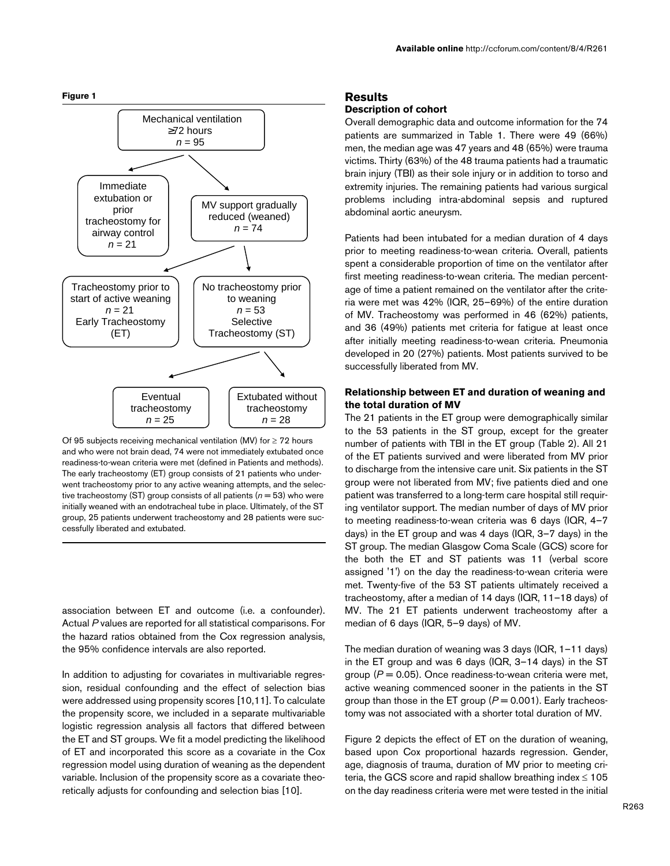

<span id="page-2-0"></span>

Of 95 subjects receiving mechanical ventilation (MV) for  $\geq$  72 hours and who were not brain dead, 74 were not immediately extubated once readiness-to-wean criteria were met (defined in Patients and methods). The early tracheostomy (ET) group consists of 21 patients who underwent tracheostomy prior to any active weaning attempts, and the selective tracheostomy (ST) group consists of all patients (*n* = 53) who were initially weaned with an endotracheal tube in place. Ultimately, of the ST group, 25 patients underwent tracheostomy and 28 patients were successfully liberated and extubated.

association between ET and outcome (i.e. a confounder). Actual *P* values are reported for all statistical comparisons. For the hazard ratios obtained from the Cox regression analysis, the 95% confidence intervals are also reported.

In addition to adjusting for covariates in multivariable regression, residual confounding and the effect of selection bias were addressed using propensity scores [10,11]. To calculate the propensity score, we included in a separate multivariable logistic regression analysis all factors that differed between the ET and ST groups. We fit a model predicting the likelihood of ET and incorporated this score as a covariate in the Cox regression model using duration of weaning as the dependent variable. Inclusion of the propensity score as a covariate theoretically adjusts for confounding and selection bias [10].

# **Results**

### **Description of cohort**

Overall demographic data and outcome information for the 74 patients are summarized in Table [1.](#page-3-0) There were 49 (66%) men, the median age was 47 years and 48 (65%) were trauma victims. Thirty (63%) of the 48 trauma patients had a traumatic brain injury (TBI) as their sole injury or in addition to torso and extremity injuries. The remaining patients had various surgical problems including intra-abdominal sepsis and ruptured abdominal aortic aneurysm.

Patients had been intubated for a median duration of 4 days prior to meeting readiness-to-wean criteria. Overall, patients spent a considerable proportion of time on the ventilator after first meeting readiness-to-wean criteria. The median percentage of time a patient remained on the ventilator after the criteria were met was 42% (IQR, 25–69%) of the entire duration of MV. Tracheostomy was performed in 46 (62%) patients, and 36 (49%) patients met criteria for fatigue at least once after initially meeting readiness-to-wean criteria. Pneumonia developed in 20 (27%) patients. Most patients survived to be successfully liberated from MV.

#### **Relationship between ET and duration of weaning and the total duration of MV**

The 21 patients in the ET group were demographically similar to the 53 patients in the ST group, except for the greater number of patients with TBI in the ET group (Table [2](#page-5-0)). All 21 of the ET patients survived and were liberated from MV prior to discharge from the intensive care unit. Six patients in the ST group were not liberated from MV; five patients died and one patient was transferred to a long-term care hospital still requiring ventilator support. The median number of days of MV prior to meeting readiness-to-wean criteria was 6 days (IQR, 4–7 days) in the ET group and was 4 days (IQR, 3–7 days) in the ST group. The median Glasgow Coma Scale (GCS) score for the both the ET and ST patients was 11 (verbal score assigned '1') on the day the readiness-to-wean criteria were met. Twenty-five of the 53 ST patients ultimately received a tracheostomy, after a median of 14 days (IQR, 11–18 days) of MV. The 21 ET patients underwent tracheostomy after a median of 6 days (IQR, 5–9 days) of MV.

The median duration of weaning was 3 days (IQR, 1–11 days) in the ET group and was 6 days (IQR, 3–14 days) in the ST group  $(P = 0.05)$ . Once readiness-to-wean criteria were met, active weaning commenced sooner in the patients in the ST group than those in the ET group  $(P = 0.001)$ . Early tracheostomy was not associated with a shorter total duration of MV.

Figure 2 depicts the effect of ET on the duration of weaning, based upon Cox proportional hazards regression. Gender, age, diagnosis of trauma, duration of MV prior to meeting criteria, the GCS score and rapid shallow breathing index  $\leq 105$ on the day readiness criteria were met were tested in the initial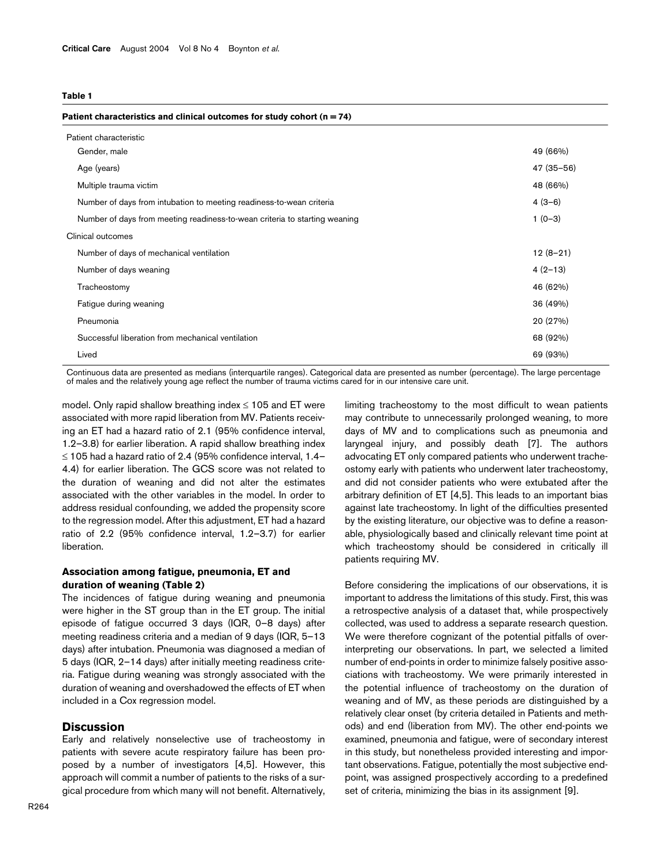#### <span id="page-3-0"></span>**Table 1**

**Patient characteristics and clinical outcomes for study cohort (n = 74)**

| Patient characteristic                                                     |              |
|----------------------------------------------------------------------------|--------------|
| Gender, male                                                               | 49 (66%)     |
| Age (years)                                                                | 47 (35 - 56) |
| Multiple trauma victim                                                     | 48 (66%)     |
| Number of days from intubation to meeting readiness-to-wean criteria       | $4(3-6)$     |
| Number of days from meeting readiness-to-wean criteria to starting weaning | $1(0-3)$     |
| Clinical outcomes                                                          |              |
| Number of days of mechanical ventilation                                   | $12(8-21)$   |
| Number of days weaning                                                     | $4(2-13)$    |
| Tracheostomy                                                               | 46 (62%)     |
| Fatigue during weaning                                                     | 36 (49%)     |
| Pneumonia                                                                  | 20 (27%)     |
| Successful liberation from mechanical ventilation                          | 68 (92%)     |
| Lived                                                                      | 69 (93%)     |

Continuous data are presented as medians (interquartile ranges). Categorical data are presented as number (percentage). The large percentage of males and the relatively young age reflect the number of trauma victims cared for in our intensive care unit.

model. Only rapid shallow breathing index  $\leq 105$  and ET were associated with more rapid liberation from MV. Patients receiving an ET had a hazard ratio of 2.1 (95% confidence interval, 1.2–3.8) for earlier liberation. A rapid shallow breathing index  $\leq$  105 had a hazard ratio of 2.4 (95% confidence interval, 1.4– 4.4) for earlier liberation. The GCS score was not related to the duration of weaning and did not alter the estimates associated with the other variables in the model. In order to address residual confounding, we added the propensity score to the regression model. After this adjustment, ET had a hazard ratio of 2.2 (95% confidence interval, 1.2–3.7) for earlier liberation.

#### **Association among fatigue, pneumonia, ET and duration of weaning (Table [2\)](#page-5-0)**

The incidences of fatigue during weaning and pneumonia were higher in the ST group than in the ET group. The initial episode of fatigue occurred 3 days (IQR, 0–8 days) after meeting readiness criteria and a median of 9 days (IQR, 5–13 days) after intubation. Pneumonia was diagnosed a median of 5 days (IQR, 2–14 days) after initially meeting readiness criteria. Fatigue during weaning was strongly associated with the duration of weaning and overshadowed the effects of ET when included in a Cox regression model.

### **Discussion**

Early and relatively nonselective use of tracheostomy in patients with severe acute respiratory failure has been proposed by a number of investigators [4,5]. However, this approach will commit a number of patients to the risks of a surgical procedure from which many will not benefit. Alternatively,

limiting tracheostomy to the most difficult to wean patients may contribute to unnecessarily prolonged weaning, to more days of MV and to complications such as pneumonia and laryngeal injury, and possibly death [7]. The authors advocating ET only compared patients who underwent tracheostomy early with patients who underwent later tracheostomy, and did not consider patients who were extubated after the arbitrary definition of ET [4,5]. This leads to an important bias against late tracheostomy. In light of the difficulties presented by the existing literature, our objective was to define a reasonable, physiologically based and clinically relevant time point at which tracheostomy should be considered in critically ill patients requiring MV.

Before considering the implications of our observations, it is important to address the limitations of this study. First, this was a retrospective analysis of a dataset that, while prospectively collected, was used to address a separate research question. We were therefore cognizant of the potential pitfalls of overinterpreting our observations. In part, we selected a limited number of end-points in order to minimize falsely positive associations with tracheostomy. We were primarily interested in the potential influence of tracheostomy on the duration of weaning and of MV, as these periods are distinguished by a relatively clear onset (by criteria detailed in Patients and methods) and end (liberation from MV). The other end-points we examined, pneumonia and fatigue, were of secondary interest in this study, but nonetheless provided interesting and important observations. Fatigue, potentially the most subjective endpoint, was assigned prospectively according to a predefined set of criteria, minimizing the bias in its assignment [9].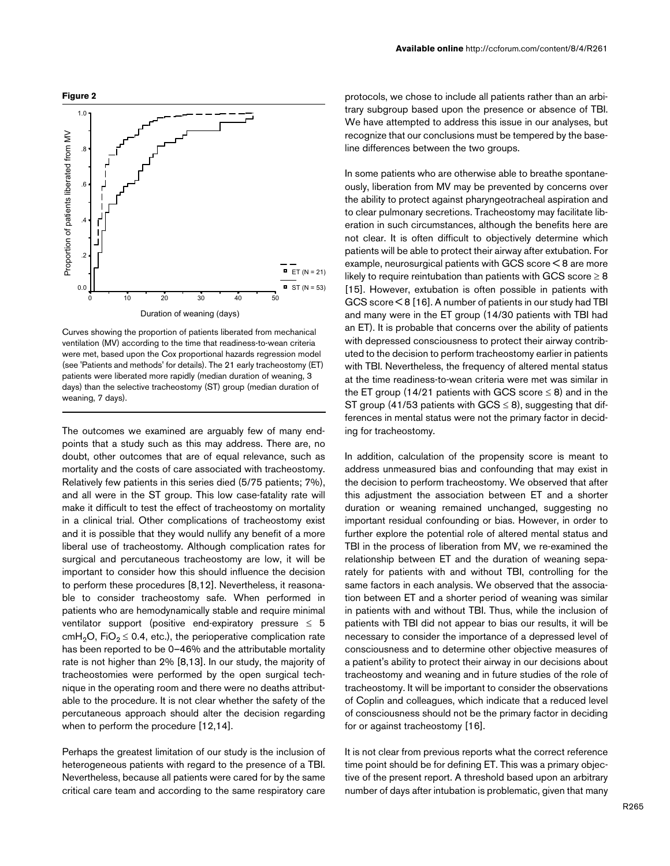

Curves showing the proportion of patients liberated from mechanical ventilation (MV) according to the time that readiness-to-wean criteria were met, based upon the Cox proportional hazards regression model (see 'Patients and methods' for details). The 21 early tracheostomy (ET) patients were liberated more rapidly (median duration of weaning, 3 days) than the selective tracheostomy (ST) group (median duration of weaning, 7 days).

The outcomes we examined are arguably few of many endpoints that a study such as this may address. There are, no doubt, other outcomes that are of equal relevance, such as mortality and the costs of care associated with tracheostomy. Relatively few patients in this series died (5/75 patients; 7%), and all were in the ST group. This low case-fatality rate will make it difficult to test the effect of tracheostomy on mortality in a clinical trial. Other complications of tracheostomy exist and it is possible that they would nullify any benefit of a more liberal use of tracheostomy. Although complication rates for surgical and percutaneous tracheostomy are low, it will be important to consider how this should influence the decision to perform these procedures [8,12]. Nevertheless, it reasonable to consider tracheostomy safe. When performed in patients who are hemodynamically stable and require minimal ventilator support (positive end-expiratory pressure  $\leq$  5 cmH<sub>2</sub>O, FiO<sub>2</sub>  $\leq$  0.4, etc.), the perioperative complication rate has been reported to be 0–46% and the attributable mortality rate is not higher than 2% [8,13]. In our study, the majority of tracheostomies were performed by the open surgical technique in the operating room and there were no deaths attributable to the procedure. It is not clear whether the safety of the percutaneous approach should alter the decision regarding when to perform the procedure [12,14].

Perhaps the greatest limitation of our study is the inclusion of heterogeneous patients with regard to the presence of a TBI. Nevertheless, because all patients were cared for by the same critical care team and according to the same respiratory care

protocols, we chose to include all patients rather than an arbitrary subgroup based upon the presence or absence of TBI. We have attempted to address this issue in our analyses, but recognize that our conclusions must be tempered by the baseline differences between the two groups.

In some patients who are otherwise able to breathe spontaneously, liberation from MV may be prevented by concerns over the ability to protect against pharyngeotracheal aspiration and to clear pulmonary secretions. Tracheostomy may facilitate liberation in such circumstances, although the benefits here are not clear. It is often difficult to objectively determine which patients will be able to protect their airway after extubation. For example, neurosurgical patients with GCS score < 8 are more likely to require reintubation than patients with GCS score  $\geq 8$ [15]. However, extubation is often possible in patients with GCS score < 8 [16]. A number of patients in our study had TBI and many were in the ET group (14/30 patients with TBI had an ET). It is probable that concerns over the ability of patients with depressed consciousness to protect their airway contributed to the decision to perform tracheostomy earlier in patients with TBI. Nevertheless, the frequency of altered mental status at the time readiness-to-wean criteria were met was similar in the ET group (14/21 patients with GCS score  $\leq$  8) and in the ST group (41/53 patients with  $GCS \leq 8$ ), suggesting that differences in mental status were not the primary factor in deciding for tracheostomy.

In addition, calculation of the propensity score is meant to address unmeasured bias and confounding that may exist in the decision to perform tracheostomy. We observed that after this adjustment the association between ET and a shorter duration or weaning remained unchanged, suggesting no important residual confounding or bias. However, in order to further explore the potential role of altered mental status and TBI in the process of liberation from MV, we re-examined the relationship between ET and the duration of weaning separately for patients with and without TBI, controlling for the same factors in each analysis. We observed that the association between ET and a shorter period of weaning was similar in patients with and without TBI. Thus, while the inclusion of patients with TBI did not appear to bias our results, it will be necessary to consider the importance of a depressed level of consciousness and to determine other objective measures of a patient's ability to protect their airway in our decisions about tracheostomy and weaning and in future studies of the role of tracheostomy. It will be important to consider the observations of Coplin and colleagues, which indicate that a reduced level of consciousness should not be the primary factor in deciding for or against tracheostomy [16].

It is not clear from previous reports what the correct reference time point should be for defining ET. This was a primary objective of the present report. A threshold based upon an arbitrary number of days after intubation is problematic, given that many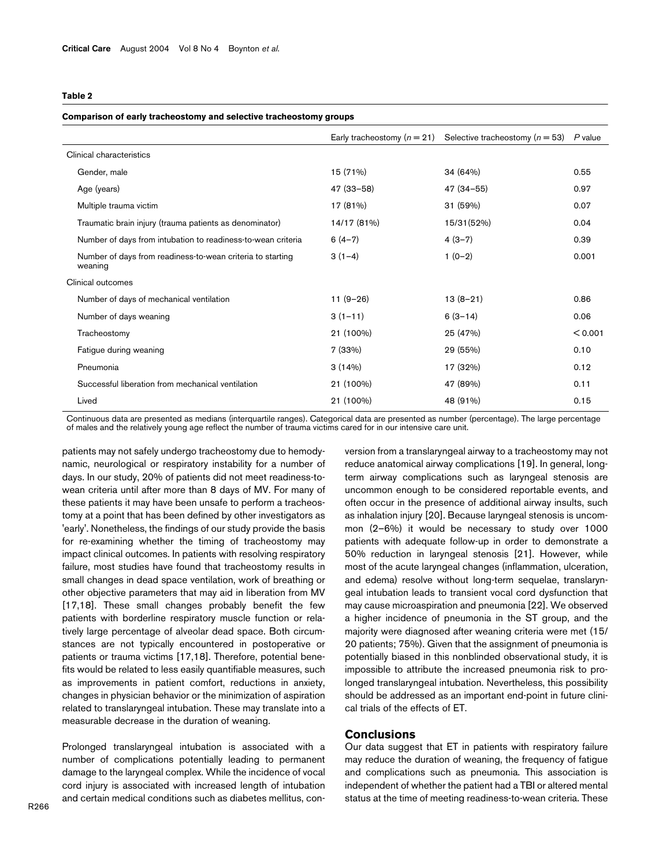#### <span id="page-5-0"></span>**Table 2**

#### **Comparison of early tracheostomy and selective tracheostomy groups**

|                                                                       | Early tracheostomy $(n = 21)$ | Selective tracheostomy ( $n = 53$ ) | $P$ value |
|-----------------------------------------------------------------------|-------------------------------|-------------------------------------|-----------|
| Clinical characteristics                                              |                               |                                     |           |
| Gender, male                                                          | 15 (71%)                      | 34 (64%)                            | 0.55      |
| Age (years)                                                           | 47 (33-58)                    | 47 (34 - 55)                        | 0.97      |
| Multiple trauma victim                                                | 17 (81%)                      | 31 (59%)                            | 0.07      |
| Traumatic brain injury (trauma patients as denominator)               | 14/17 (81%)                   | 15/31(52%)                          | 0.04      |
| Number of days from intubation to readiness-to-wean criteria          | $6(4-7)$                      | $4(3-7)$                            | 0.39      |
| Number of days from readiness-to-wean criteria to starting<br>weaning | $3(1-4)$                      | $1(0-2)$                            | 0.001     |
| Clinical outcomes                                                     |                               |                                     |           |
| Number of days of mechanical ventilation                              | $11(9-26)$                    | $13(8-21)$                          | 0.86      |
| Number of days weaning                                                | $3(1-11)$                     | $6(3-14)$                           | 0.06      |
| Tracheostomy                                                          | 21 (100%)                     | 25 (47%)                            | < 0.001   |
| Fatigue during weaning                                                | 7(33%)                        | 29 (55%)                            | 0.10      |
| Pneumonia                                                             | 3(14%)                        | 17 (32%)                            | 0.12      |
| Successful liberation from mechanical ventilation                     | 21 (100%)                     | 47 (89%)                            | 0.11      |
| Lived                                                                 | 21 (100%)                     | 48 (91%)                            | 0.15      |

Continuous data are presented as medians (interquartile ranges). Categorical data are presented as number (percentage). The large percentage of males and the relatively young age reflect the number of trauma victims cared for in our intensive care unit.

patients may not safely undergo tracheostomy due to hemodynamic, neurological or respiratory instability for a number of days. In our study, 20% of patients did not meet readiness-towean criteria until after more than 8 days of MV. For many of these patients it may have been unsafe to perform a tracheostomy at a point that has been defined by other investigators as 'early'. Nonetheless, the findings of our study provide the basis for re-examining whether the timing of tracheostomy may impact clinical outcomes. In patients with resolving respiratory failure, most studies have found that tracheostomy results in small changes in dead space ventilation, work of breathing or other objective parameters that may aid in liberation from MV [17,18]. These small changes probably benefit the few patients with borderline respiratory muscle function or relatively large percentage of alveolar dead space. Both circumstances are not typically encountered in postoperative or patients or trauma victims [17,18]. Therefore, potential benefits would be related to less easily quantifiable measures, such as improvements in patient comfort, reductions in anxiety, changes in physician behavior or the minimization of aspiration related to translaryngeal intubation. These may translate into a measurable decrease in the duration of weaning.

Prolonged translaryngeal intubation is associated with a number of complications potentially leading to permanent damage to the laryngeal complex. While the incidence of vocal cord injury is associated with increased length of intubation and certain medical conditions such as diabetes mellitus, conversion from a translaryngeal airway to a tracheostomy may not reduce anatomical airway complications [19]. In general, longterm airway complications such as laryngeal stenosis are uncommon enough to be considered reportable events, and often occur in the presence of additional airway insults, such as inhalation injury [20]. Because laryngeal stenosis is uncommon (2–6%) it would be necessary to study over 1000 patients with adequate follow-up in order to demonstrate a 50% reduction in laryngeal stenosis [21]. However, while most of the acute laryngeal changes (inflammation, ulceration, and edema) resolve without long-term sequelae, translaryngeal intubation leads to transient vocal cord dysfunction that may cause microaspiration and pneumonia [22]. We observed a higher incidence of pneumonia in the ST group, and the majority were diagnosed after weaning criteria were met (15/ 20 patients; 75%). Given that the assignment of pneumonia is potentially biased in this nonblinded observational study, it is impossible to attribute the increased pneumonia risk to prolonged translaryngeal intubation. Nevertheless, this possibility should be addressed as an important end-point in future clinical trials of the effects of ET.

#### **Conclusions**

Our data suggest that ET in patients with respiratory failure may reduce the duration of weaning, the frequency of fatigue and complications such as pneumonia. This association is independent of whether the patient had a TBI or altered mental status at the time of meeting readiness-to-wean criteria. These